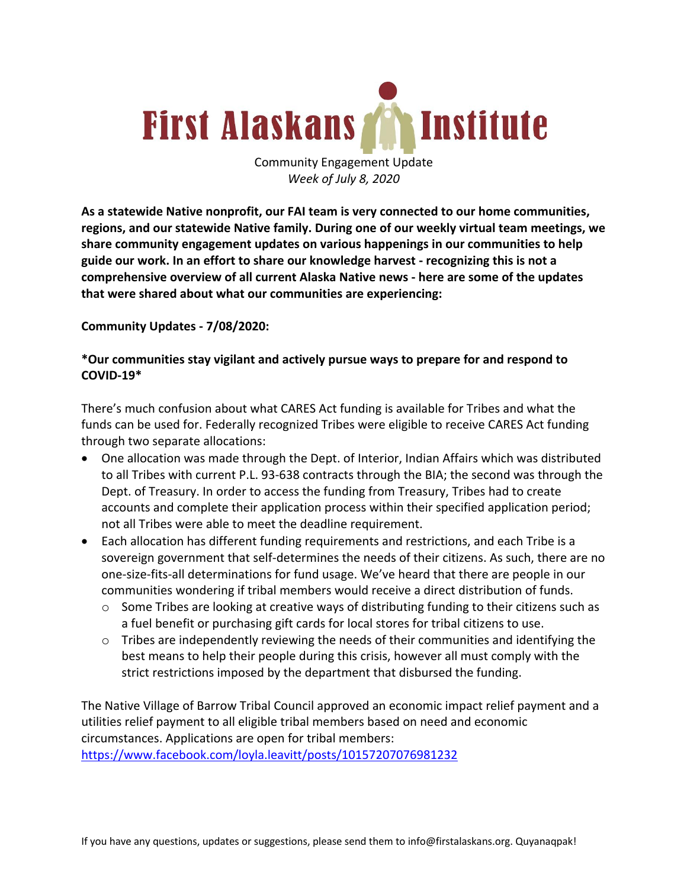

Community Engagement Update *Week of July 8, 2020*

**As a statewide Native nonprofit, our FAI team is very connected to our home communities, regions, and our statewide Native family. During one of our weekly virtual team meetings, we share community engagement updates on various happenings in our communities to help guide our work. In an effort to share our knowledge harvest - recognizing this is not a comprehensive overview of all current Alaska Native news - here are some of the updates that were shared about what our communities are experiencing:**

### **Community Updates - 7/08/2020:**

## **\*Our communities stay vigilant and actively pursue ways to prepare for and respond to COVID-19\***

There's much confusion about what CARES Act funding is available for Tribes and what the funds can be used for. Federally recognized Tribes were eligible to receive CARES Act funding through two separate allocations:

- One allocation was made through the Dept. of Interior, Indian Affairs which was distributed to all Tribes with current P.L. 93-638 contracts through the BIA; the second was through the Dept. of Treasury. In order to access the funding from Treasury, Tribes had to create accounts and complete their application process within their specified application period; not all Tribes were able to meet the deadline requirement.
- Each allocation has different funding requirements and restrictions, and each Tribe is a sovereign government that self-determines the needs of their citizens. As such, there are no one-size-fits-all determinations for fund usage. We've heard that there are people in our communities wondering if tribal members would receive a direct distribution of funds.
	- $\circ$  Some Tribes are looking at creative ways of distributing funding to their citizens such as a fuel benefit or purchasing gift cards for local stores for tribal citizens to use.
	- $\circ$  Tribes are independently reviewing the needs of their communities and identifying the best means to help their people during this crisis, however all must comply with the strict restrictions imposed by the department that disbursed the funding.

The Native Village of Barrow Tribal Council approved an economic impact relief payment and a utilities relief payment to all eligible tribal members based on need and economic circumstances. Applications are open for tribal members: https://www.facebook.com/loyla.leavitt/posts/10157207076981232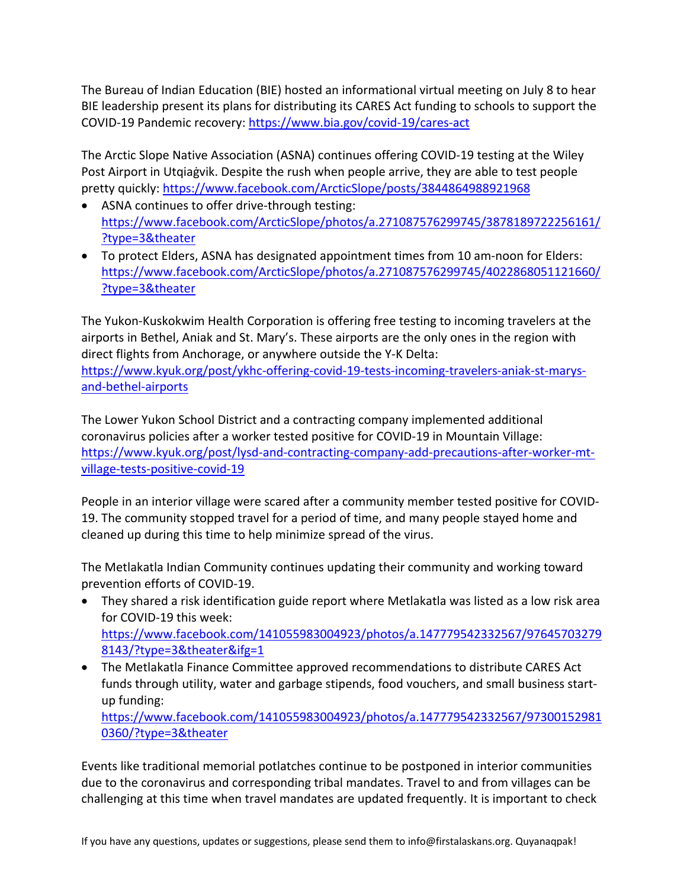The Bureau of Indian Education (BIE) hosted an informational virtual meeting on July 8 to hear BIE leadership present its plans for distributing its CARES Act funding to schools to support the COVID-19 Pandemic recovery: https://www.bia.gov/covid-19/cares-act

The Arctic Slope Native Association (ASNA) continues offering COVID-19 testing at the Wiley Post Airport in Utqiaġvik. Despite the rush when people arrive, they are able to test people pretty quickly: https://www.facebook.com/ArcticSlope/posts/3844864988921968

- ASNA continues to offer drive-through testing: https://www.facebook.com/ArcticSlope/photos/a.271087576299745/3878189722256161/ ?type=3&theater
- To protect Elders, ASNA has designated appointment times from 10 am-noon for Elders: https://www.facebook.com/ArcticSlope/photos/a.271087576299745/4022868051121660/ ?type=3&theater

The Yukon-Kuskokwim Health Corporation is offering free testing to incoming travelers at the airports in Bethel, Aniak and St. Mary's. These airports are the only ones in the region with direct flights from Anchorage, or anywhere outside the Y-K Delta:

https://www.kyuk.org/post/ykhc-offering-covid-19-tests-incoming-travelers-aniak-st-marysand-bethel-airports

The Lower Yukon School District and a contracting company implemented additional coronavirus policies after a worker tested positive for COVID-19 in Mountain Village: https://www.kyuk.org/post/lysd-and-contracting-company-add-precautions-after-worker-mtvillage-tests-positive-covid-19

People in an interior village were scared after a community member tested positive for COVID-19. The community stopped travel for a period of time, and many people stayed home and cleaned up during this time to help minimize spread of the virus.

The Metlakatla Indian Community continues updating their community and working toward prevention efforts of COVID-19.

- They shared a risk identification guide report where Metlakatla was listed as a low risk area for COVID-19 this week: https://www.facebook.com/141055983004923/photos/a.147779542332567/97645703279 8143/?type=3&theater&ifg=1
- The Metlakatla Finance Committee approved recommendations to distribute CARES Act funds through utility, water and garbage stipends, food vouchers, and small business startup funding:

https://www.facebook.com/141055983004923/photos/a.147779542332567/97300152981 0360/?type=3&theater

Events like traditional memorial potlatches continue to be postponed in interior communities due to the coronavirus and corresponding tribal mandates. Travel to and from villages can be challenging at this time when travel mandates are updated frequently. It is important to check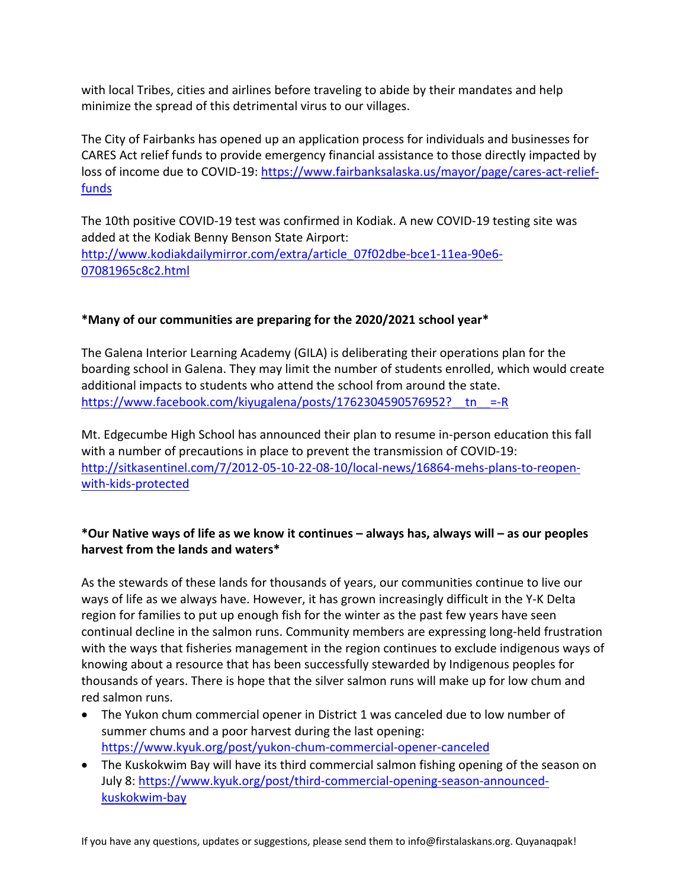with local Tribes, cities and airlines before traveling to abide by their mandates and help minimize the spread of this detrimental virus to our villages.

The City of Fairbanks has opened up an application process for individuals and businesses for CARES Act relief funds to provide emergency financial assistance to those directly impacted by loss of income due to COVID-19: https://www.fairbanksalaska.us/mayor/page/cares-act-relieffunds

The 10th positive COVID-19 test was confirmed in Kodiak. A new COVID-19 testing site was added at the Kodiak Benny Benson State Airport: http://www.kodiakdailymirror.com/extra/article\_07f02dbe-bce1-11ea-90e6- 07081965c8c2.html

## **\*Many of our communities are preparing for the 2020/2021 school year\***

The Galena Interior Learning Academy (GILA) is deliberating their operations plan for the boarding school in Galena. They may limit the number of students enrolled, which would create additional impacts to students who attend the school from around the state. https://www.facebook.com/kiyugalena/posts/1762304590576952? tn =-R

Mt. Edgecumbe High School has announced their plan to resume in-person education this fall with a number of precautions in place to prevent the transmission of COVID-19: http://sitkasentinel.com/7/2012-05-10-22-08-10/local-news/16864-mehs-plans-to-reopenwith-kids-protected

# **\*Our Native ways of life as we know it continues – always has, always will – as our peoples harvest from the lands and waters\***

As the stewards of these lands for thousands of years, our communities continue to live our ways of life as we always have. However, it has grown increasingly difficult in the Y-K Delta region for families to put up enough fish for the winter as the past few years have seen continual decline in the salmon runs. Community members are expressing long-held frustration with the ways that fisheries management in the region continues to exclude indigenous ways of knowing about a resource that has been successfully stewarded by Indigenous peoples for thousands of years. There is hope that the silver salmon runs will make up for low chum and red salmon runs.

- The Yukon chum commercial opener in District 1 was canceled due to low number of summer chums and a poor harvest during the last opening: https://www.kyuk.org/post/yukon-chum-commercial-opener-canceled
- The Kuskokwim Bay will have its third commercial salmon fishing opening of the season on July 8: https://www.kyuk.org/post/third-commercial-opening-season-announcedkuskokwim-bay

If you have any questions, updates or suggestions, please send them to info@firstalaskans.org. Quyanaqpak!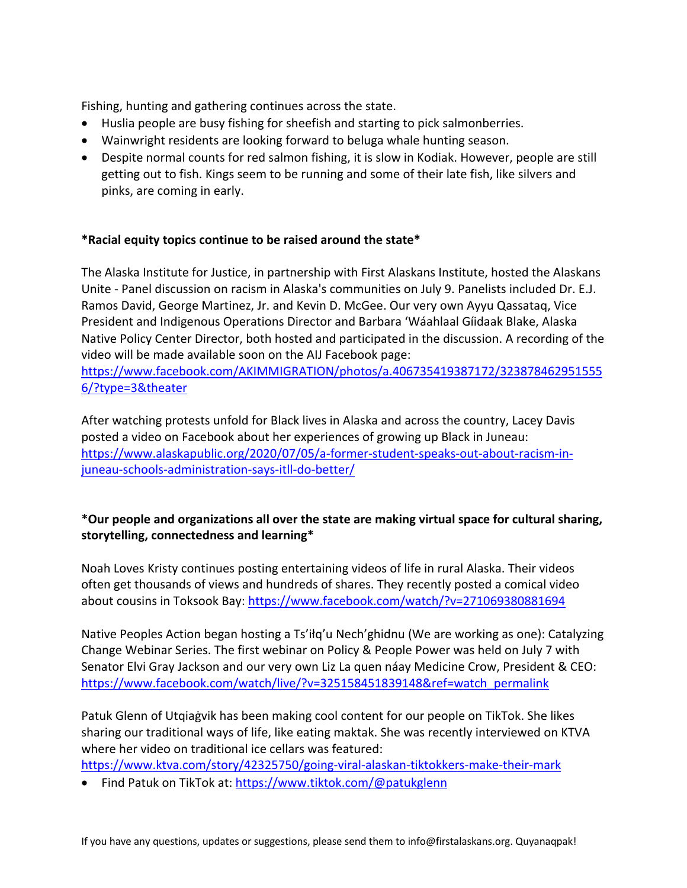Fishing, hunting and gathering continues across the state.

- Huslia people are busy fishing for sheefish and starting to pick salmonberries.
- Wainwright residents are looking forward to beluga whale hunting season.
- Despite normal counts for red salmon fishing, it is slow in Kodiak. However, people are still getting out to fish. Kings seem to be running and some of their late fish, like silvers and pinks, are coming in early.

### **\*Racial equity topics continue to be raised around the state\***

The Alaska Institute for Justice, in partnership with First Alaskans Institute, hosted the Alaskans Unite - Panel discussion on racism in Alaska's communities on July 9. Panelists included Dr. E.J. Ramos David, George Martinez, Jr. and Kevin D. McGee. Our very own Ayyu Qassataq, Vice President and Indigenous Operations Director and Barbara 'Wáahlaal Gíidaak Blake, Alaska Native Policy Center Director, both hosted and participated in the discussion. A recording of the video will be made available soon on the AIJ Facebook page:

https://www.facebook.com/AKIMMIGRATION/photos/a.406735419387172/323878462951555 6/?type=3&theater

After watching protests unfold for Black lives in Alaska and across the country, Lacey Davis posted a video on Facebook about her experiences of growing up Black in Juneau: https://www.alaskapublic.org/2020/07/05/a-former-student-speaks-out-about-racism-injuneau-schools-administration-says-itll-do-better/

# **\*Our people and organizations all over the state are making virtual space for cultural sharing, storytelling, connectedness and learning\***

Noah Loves Kristy continues posting entertaining videos of life in rural Alaska. Their videos often get thousands of views and hundreds of shares. They recently posted a comical video about cousins in Toksook Bay: https://www.facebook.com/watch/?v=271069380881694

Native Peoples Action began hosting a Ts'iłq'u Nech'ghidnu (We are working as one): Catalyzing Change Webinar Series. The first webinar on Policy & People Power was held on July 7 with Senator Elvi Gray Jackson and our very own Liz La quen náay Medicine Crow, President & CEO: https://www.facebook.com/watch/live/?v=325158451839148&ref=watch\_permalink

Patuk Glenn of Utqiaġvik has been making cool content for our people on TikTok. She likes sharing our traditional ways of life, like eating maktak. She was recently interviewed on KTVA where her video on traditional ice cellars was featured:

https://www.ktva.com/story/42325750/going-viral-alaskan-tiktokkers-make-their-mark

• Find Patuk on TikTok at: https://www.tiktok.com/@patukglenn